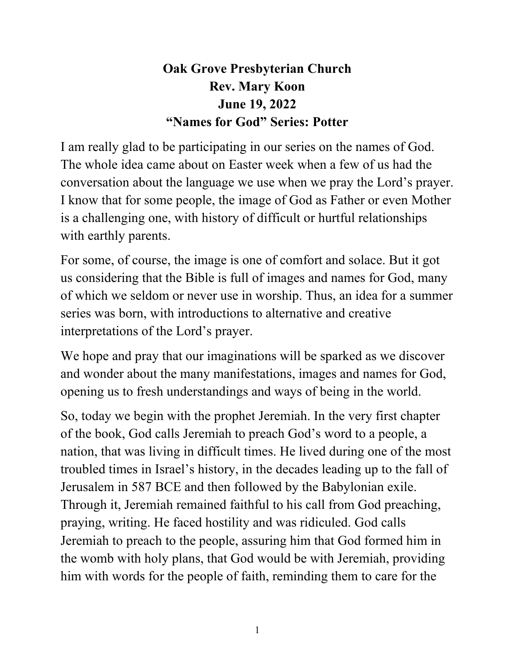## **Oak Grove Presbyterian Church Rev. Mary Koon June 19, 2022 "Names for God" Series: Potter**

I am really glad to be participating in our series on the names of God. The whole idea came about on Easter week when a few of us had the conversation about the language we use when we pray the Lord's prayer. I know that for some people, the image of God as Father or even Mother is a challenging one, with history of difficult or hurtful relationships with earthly parents.

For some, of course, the image is one of comfort and solace. But it got us considering that the Bible is full of images and names for God, many of which we seldom or never use in worship. Thus, an idea for a summer series was born, with introductions to alternative and creative interpretations of the Lord's prayer.

We hope and pray that our imaginations will be sparked as we discover and wonder about the many manifestations, images and names for God, opening us to fresh understandings and ways of being in the world.

So, today we begin with the prophet Jeremiah. In the very first chapter of the book, God calls Jeremiah to preach God's word to a people, a nation, that was living in difficult times. He lived during one of the most troubled times in Israel's history, in the decades leading up to the fall of Jerusalem in 587 BCE and then followed by the Babylonian exile. Through it, Jeremiah remained faithful to his call from God preaching, praying, writing. He faced hostility and was ridiculed. God calls Jeremiah to preach to the people, assuring him that God formed him in the womb with holy plans, that God would be with Jeremiah, providing him with words for the people of faith, reminding them to care for the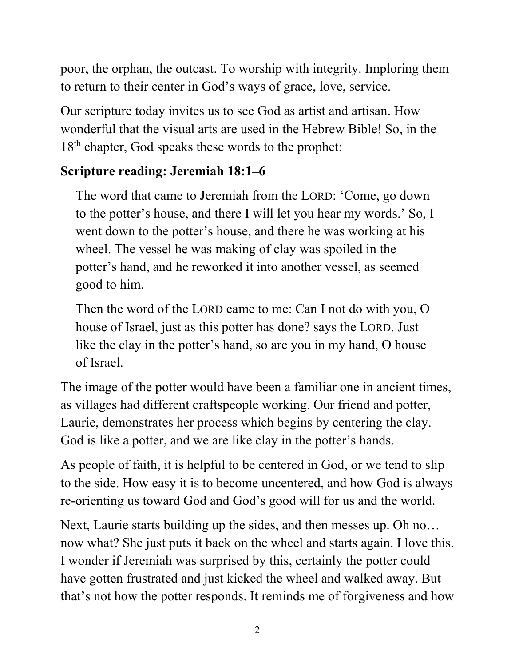poor, the orphan, the outcast. To worship with integrity. Imploring them to return to their center in God's ways of grace, love, service.

Our scripture today invites us to see God as artist and artisan. How wonderful that the visual arts are used in the Hebrew Bible! So, in the 18<sup>th</sup> chapter, God speaks these words to the prophet:

## **Scripture reading: Jeremiah 18:1–6**

The word that came to Jeremiah from the LORD: 'Come, go down to the potter's house, and there I will let you hear my words.' So, I went down to the potter's house, and there he was working at his wheel. The vessel he was making of clay was spoiled in the potter's hand, and he reworked it into another vessel, as seemed good to him.

Then the word of the LORD came to me: Can I not do with you, O house of Israel, just as this potter has done? says the LORD. Just like the clay in the potter's hand, so are you in my hand, O house of Israel.

The image of the potter would have been a familiar one in ancient times, as villages had different craftspeople working. Our friend and potter, Laurie, demonstrates her process which begins by centering the clay. God is like a potter, and we are like clay in the potter's hands.

As people of faith, it is helpful to be centered in God, or we tend to slip to the side. How easy it is to become uncentered, and how God is always re-orienting us toward God and God's good will for us and the world.

Next, Laurie starts building up the sides, and then messes up. Oh no… now what? She just puts it back on the wheel and starts again. I love this. I wonder if Jeremiah was surprised by this, certainly the potter could have gotten frustrated and just kicked the wheel and walked away. But that's not how the potter responds. It reminds me of forgiveness and how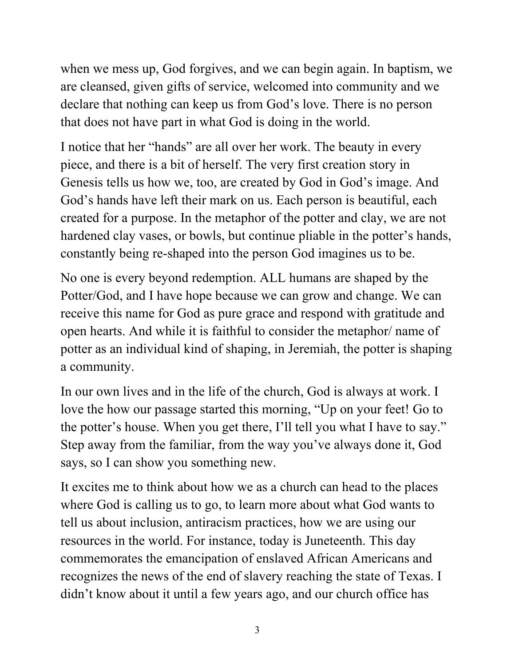when we mess up, God forgives, and we can begin again. In baptism, we are cleansed, given gifts of service, welcomed into community and we declare that nothing can keep us from God's love. There is no person that does not have part in what God is doing in the world.

I notice that her "hands" are all over her work. The beauty in every piece, and there is a bit of herself. The very first creation story in Genesis tells us how we, too, are created by God in God's image. And God's hands have left their mark on us. Each person is beautiful, each created for a purpose. In the metaphor of the potter and clay, we are not hardened clay vases, or bowls, but continue pliable in the potter's hands, constantly being re-shaped into the person God imagines us to be.

No one is every beyond redemption. ALL humans are shaped by the Potter/God, and I have hope because we can grow and change. We can receive this name for God as pure grace and respond with gratitude and open hearts. And while it is faithful to consider the metaphor/ name of potter as an individual kind of shaping, in Jeremiah, the potter is shaping a community.

In our own lives and in the life of the church, God is always at work. I love the how our passage started this morning, "Up on your feet! Go to the potter's house. When you get there, I'll tell you what I have to say." Step away from the familiar, from the way you've always done it, God says, so I can show you something new.

It excites me to think about how we as a church can head to the places where God is calling us to go, to learn more about what God wants to tell us about inclusion, antiracism practices, how we are using our resources in the world. For instance, today is Juneteenth. This day commemorates the emancipation of enslaved African Americans and recognizes the news of the end of slavery reaching the state of Texas. I didn't know about it until a few years ago, and our church office has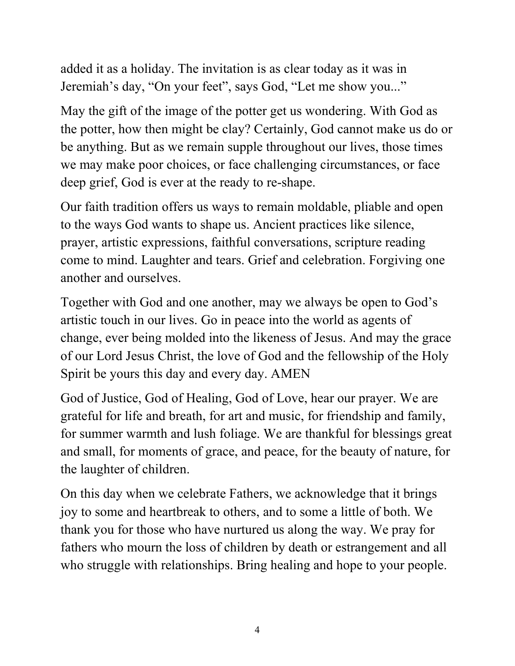added it as a holiday. The invitation is as clear today as it was in Jeremiah's day, "On your feet", says God, "Let me show you..."

May the gift of the image of the potter get us wondering. With God as the potter, how then might be clay? Certainly, God cannot make us do or be anything. But as we remain supple throughout our lives, those times we may make poor choices, or face challenging circumstances, or face deep grief, God is ever at the ready to re-shape.

Our faith tradition offers us ways to remain moldable, pliable and open to the ways God wants to shape us. Ancient practices like silence, prayer, artistic expressions, faithful conversations, scripture reading come to mind. Laughter and tears. Grief and celebration. Forgiving one another and ourselves.

Together with God and one another, may we always be open to God's artistic touch in our lives. Go in peace into the world as agents of change, ever being molded into the likeness of Jesus. And may the grace of our Lord Jesus Christ, the love of God and the fellowship of the Holy Spirit be yours this day and every day. AMEN

God of Justice, God of Healing, God of Love, hear our prayer. We are grateful for life and breath, for art and music, for friendship and family, for summer warmth and lush foliage. We are thankful for blessings great and small, for moments of grace, and peace, for the beauty of nature, for the laughter of children.

On this day when we celebrate Fathers, we acknowledge that it brings joy to some and heartbreak to others, and to some a little of both. We thank you for those who have nurtured us along the way. We pray for fathers who mourn the loss of children by death or estrangement and all who struggle with relationships. Bring healing and hope to your people.